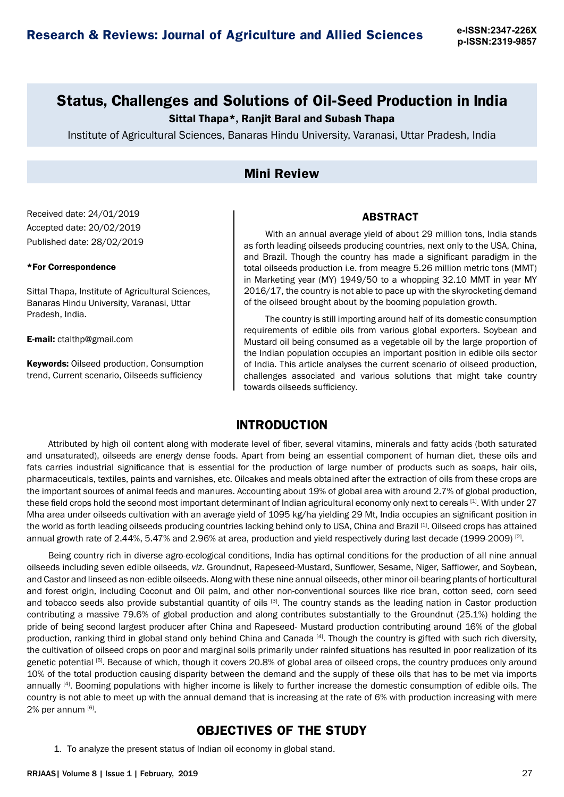# **Status, Challenges and Solutions of Oil-Seed Production in India**

### Sittal Thapa\*, Ranjit Baral and Subash Thapa

Institute of Agricultural Sciences, Banaras Hindu University, Varanasi, Uttar Pradesh, India

## **Mini Review**

Received date: 24/01/2019 Accepted date: 20/02/2019 Published date: 28/02/2019

#### \*For Correspondence

Sittal Thapa, Institute of Agricultural Sciences, Banaras Hindu University, Varanasi, Uttar Pradesh, India.

E-mail: ctalthp@gmail.com

Keywords: Oilseed production, Consumption trend, Current scenario, Oilseeds sufficiency

#### **ABSTRACT**

With an annual average yield of about 29 million tons, India stands as forth leading oilseeds producing countries, next only to the USA, China, and Brazil. Though the country has made a significant paradigm in the total oilseeds production i.e. from meagre 5.26 million metric tons (MMT) in Marketing year (MY) 1949/50 to a whopping 32.10 MMT in year MY 2016/17, the country is not able to pace up with the skyrocketing demand of the oilseed brought about by the booming population growth.

The country is still importing around half of its domestic consumption requirements of edible oils from various global exporters. Soybean and Mustard oil being consumed as a vegetable oil by the large proportion of the Indian population occupies an important position in edible oils sector of India. This article analyses the current scenario of oilseed production, challenges associated and various solutions that might take country towards oilseeds sufficiency.

## **INTRODUCTION**

Attributed by high oil content along with moderate level of fiber, several vitamins, minerals and fatty acids (both saturated and unsaturated), oilseeds are energy dense foods. Apart from being an essential component of human diet, these oils and fats carries industrial significance that is essential for the production of large number of products such as soaps, hair oils, pharmaceuticals, textiles, paints and varnishes, etc. Oilcakes and meals obtained after the extraction of oils from these crops are the important sources of animal feeds and manures. Accounting about 19% of global area with around 2.7% of global production, these field crops hold the second most important determinant of Indian agricultural economy only next to cereals [1]. With under 27 Mha area under oilseeds cultivation with an average yield of 1095 kg/ha yielding 29 Mt, India occupies an significant position in the world as forth leading oilseeds producing countries lacking behind only to USA, China and Brazil [1]. Oilseed crops has attained annual growth rate of 2.44%, 5.47% and 2.96% at area, production and yield respectively during last decade (1999-2009) <sup>[2]</sup>.

Being country rich in diverse agro-ecological conditions, India has optimal conditions for the production of all nine annual oilseeds including seven edible oilseeds, *viz*. Groundnut, Rapeseed-Mustard, Sunflower, Sesame, Niger, Safflower, and Soybean, and Castor and linseed as non-edible oilseeds. Along with these nine annual oilseeds, other minor oil-bearing plants of horticultural and forest origin, including Coconut and Oil palm, and other non-conventional sources like rice bran, cotton seed, corn seed and tobacco seeds also provide substantial quantity of oils [3]. The country stands as the leading nation in Castor production contributing a massive 79.6% of global production and along contributes substantially to the Groundnut (25.1%) holding the pride of being second largest producer after China and Rapeseed- Mustard production contributing around 16% of the global production, ranking third in global stand only behind China and Canada [4]. Though the country is gifted with such rich diversity, the cultivation of oilseed crops on poor and marginal soils primarily under rainfed situations has resulted in poor realization of its genetic potential [5]. Because of which, though it covers 20.8% of global area of oilseed crops, the country produces only around 10% of the total production causing disparity between the demand and the supply of these oils that has to be met via imports annually <sup>[4]</sup>. Booming populations with higher income is likely to further increase the domestic consumption of edible oils. The country is not able to meet up with the annual demand that is increasing at the rate of 6% with production increasing with mere 2% per annum [6].

## **OBJECTIVES OF THE STUDY**

1. To analyze the present status of Indian oil economy in global stand.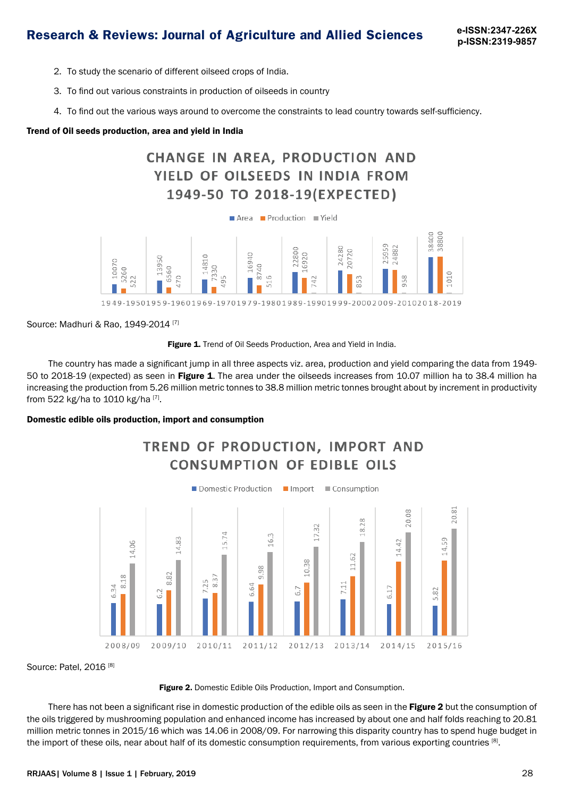- 2. To study the scenario of different oilseed crops of India.
- 3. To find out various constraints in production of oilseeds in country
- 4. To find out the various ways around to overcome the constraints to lead country towards self-sufficiency.

#### Trend of Oil seeds production, area and yield in India





Source: Madhuri & Rao, 1949-2014 [7]



The country has made a significant jump in all three aspects viz. area, production and yield comparing the data from 1949- 50 to 2018-19 (expected) as seen in Figure 1. The area under the oilseeds increases from 10.07 million ha to 38.4 million ha increasing the production from 5.26 million metric tonnes to 38.8 million metric tonnes brought about by increment in productivity from 522 kg/ha to 1010 kg/ha [7].

#### Domestic edible oils production, import and consumption



Source: Patel, 2016<sup>[8]</sup>



There has not been a significant rise in domestic production of the edible oils as seen in the Figure 2 but the consumption of the oils triggered by mushrooming population and enhanced income has increased by about one and half folds reaching to 20.81 million metric tonnes in 2015/16 which was 14.06 in 2008/09. For narrowing this disparity country has to spend huge budget in the import of these oils, near about half of its domestic consumption requirements, from various exporting countries [8].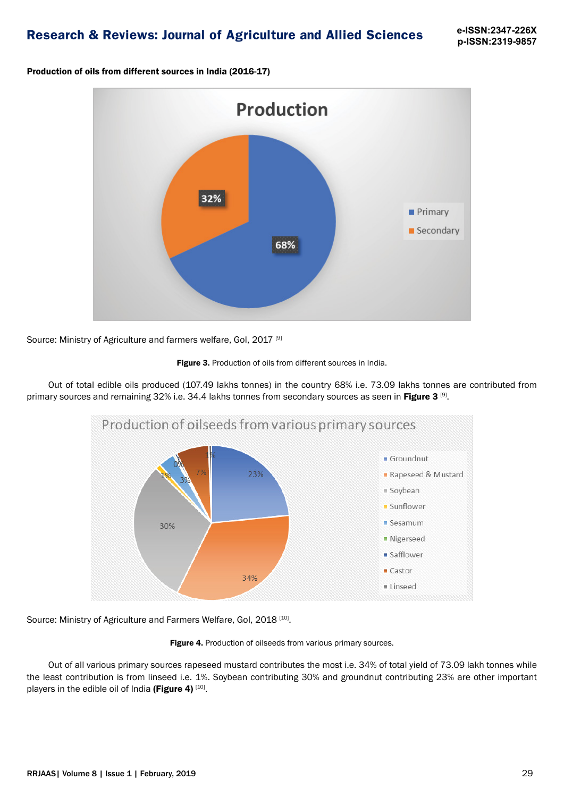Production of oils from different sources in India (2016-17)



Source: Ministry of Agriculture and farmers welfare, Gol. 2017<sup>[9]</sup>



Out of total edible oils produced (107.49 lakhs tonnes) in the country 68% i.e. 73.09 lakhs tonnes are contributed from primary sources and remaining 32% i.e. 34.4 lakhs tonnes from secondary sources as seen in Figure 3<sup>[9]</sup>.



Source: Ministry of Agriculture and Farmers Welfare, Gol, 2018<sup>[10]</sup>.

Figure 4. Production of oilseeds from various primary sources.

Out of all various primary sources rapeseed mustard contributes the most i.e. 34% of total yield of 73.09 lakh tonnes while the least contribution is from linseed i.e. 1%. Soybean contributing 30% and groundnut contributing 23% are other important players in the edible oil of India (Figure 4)  $[10]$ .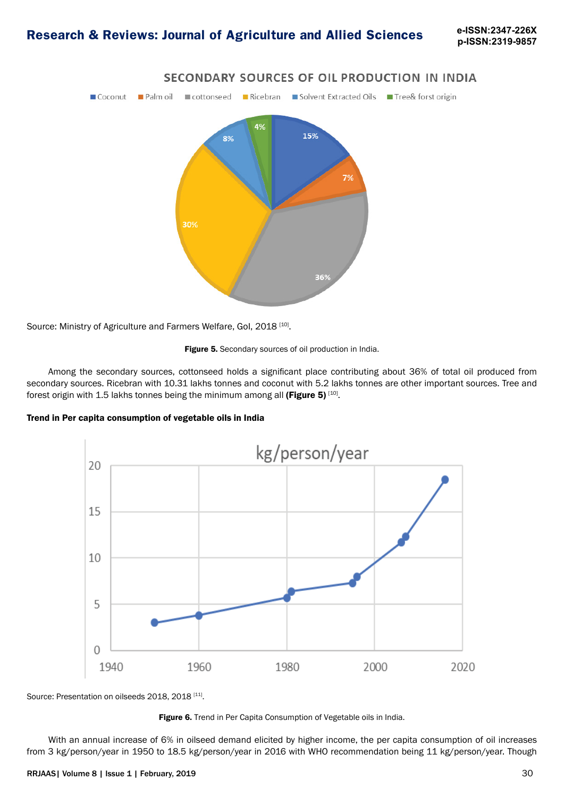**p-ISSN:2319-9857**



### SECONDARY SOURCES OF OIL PRODUCTION IN INDIA

Source: Ministry of Agriculture and Farmers Welfare, Gol, 2018<sup>[10]</sup>.



Among the secondary sources, cottonseed holds a significant place contributing about 36% of total oil produced from secondary sources. Ricebran with 10.31 lakhs tonnes and coconut with 5.2 lakhs tonnes are other important sources. Tree and forest origin with 1.5 lakhs tonnes being the minimum among all (Figure 5)  $[10]$ .





Source: Presentation on oilseeds 2018, 2018<sup>[11]</sup>.



With an annual increase of 6% in oilseed demand elicited by higher income, the per capita consumption of oil increases from 3 kg/person/year in 1950 to 18.5 kg/person/year in 2016 with WHO recommendation being 11 kg/person/year. Though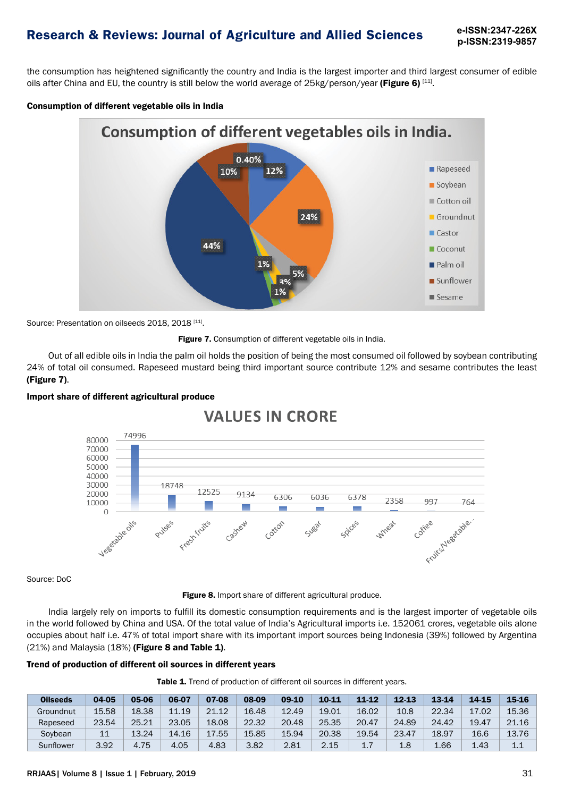**p-ISSN:2319-9857**

the consumption has heightened significantly the country and India is the largest importer and third largest consumer of edible oils after China and EU, the country is still below the world average of 25kg/person/year (Figure 6) [11].

#### Consumption of different vegetable oils in India



Source: Presentation on oilseeds 2018, 2018 [11].



Out of all edible oils in India the palm oil holds the position of being the most consumed oil followed by soybean contributing 24% of total oil consumed. Rapeseed mustard being third important source contribute 12% and sesame contributes the least (Figure 7).



#### Import share of different agricultural produce

Source: DoC

Figure 8. Import share of different agricultural produce.

India largely rely on imports to fulfill its domestic consumption requirements and is the largest importer of vegetable oils in the world followed by China and USA. Of the total value of India's Agricultural imports i.e. 152061 crores, vegetable oils alone occupies about half i.e. 47% of total import share with its important import sources being Indonesia (39%) followed by Argentina  $(21%)$  and Malaysia  $(18%)$  (Figure 8 and Table 1).

#### Trend of production of different oil sources in different years

| <b>Table 1.</b> Trend of production of different oil sources in different years. |  |  |  |  |
|----------------------------------------------------------------------------------|--|--|--|--|
|----------------------------------------------------------------------------------|--|--|--|--|

| <b>Oilseeds</b> | 04-05 | 05-06 | 06-07 | 07-08 | 08-09 | 09-10 | 10-11 | $11 - 12$ | $12 - 13$ | 13-14 | 14-15 | 15-16 |
|-----------------|-------|-------|-------|-------|-------|-------|-------|-----------|-----------|-------|-------|-------|
| Groundnut       | 15.58 | 18.38 | 11.19 | 21.12 | 16.48 | 12.49 | 19.01 | 16.02     | 10.8      | 22.34 | 17.02 | 15.36 |
| Rapeseed        | 23.54 | 25.21 | 23.05 | 18.08 | 22.32 | 20.48 | 25.35 | 20.47     | 24.89     | 24.42 | 19.47 | 21.16 |
| Sovbean         | 11    | 13.24 | 14.16 | 17.55 | 15.85 | 15.94 | 20.38 | 19.54     | 23.47     | 18.97 | 16.6  | 13.76 |
| Sunflower       | 3.92  | 4.75  | 4.05  | 4.83  | 3.82  | 2.81  | 2.15  | 17<br>∸.  | 1.8       | 1.66  | 1.43  | 1.1   |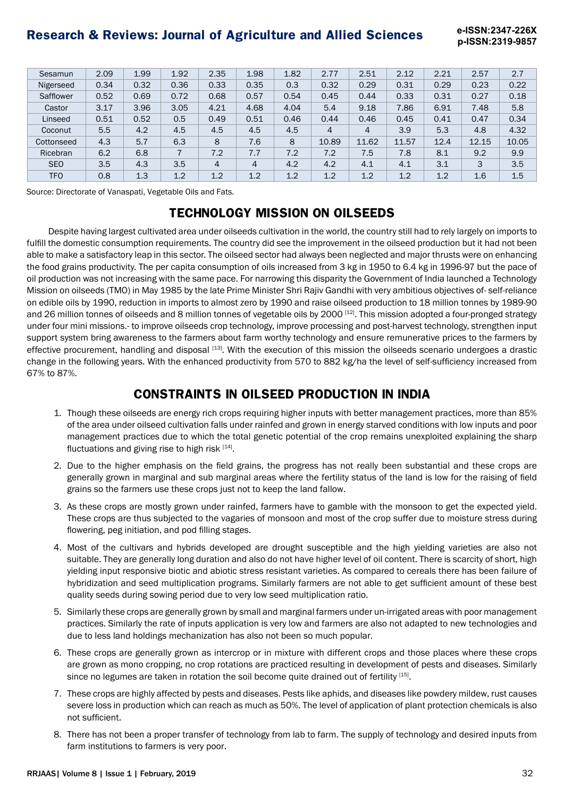**p-ISSN:2319-9857**

| Sesamun    | 2.09 | 1.99 | 1.92           | 2.35           | 1.98           | 1.82 | 2.77           | 2.51           | 2.12  | 2.21 | 2.57  | 2.7   |
|------------|------|------|----------------|----------------|----------------|------|----------------|----------------|-------|------|-------|-------|
| Nigerseed  | 0.34 | 0.32 | 0.36           | 0.33           | 0.35           | 0.3  | 0.32           | 0.29           | 0.31  | 0.29 | 0.23  | 0.22  |
| Safflower  | 0.52 | 0.69 | 0.72           | 0.68           | 0.57           | 0.54 | 0.45           | 0.44           | 0.33  | 0.31 | 0.27  | 0.18  |
| Castor     | 3.17 | 3.96 | 3.05           | 4.21           | 4.68           | 4.04 | 5.4            | 9.18           | 7.86  | 6.91 | 7.48  | 5.8   |
| Linseed    | 0.51 | 0.52 | 0.5            | 0.49           | 0.51           | 0.46 | 0.44           | 0.46           | 0.45  | 0.41 | 0.47  | 0.34  |
| Coconut    | 5.5  | 4.2  | 4.5            | 4.5            | 4.5            | 4.5  | $\overline{4}$ | $\overline{4}$ | 3.9   | 5.3  | 4.8   | 4.32  |
| Cottonseed | 4.3  | 5.7  | 6.3            | 8              | 7.6            | 8    | 10.89          | 11.62          | 11.57 | 12.4 | 12.15 | 10.05 |
| Ricebran   | 6.2  | 6.8  | $\overline{7}$ | 7.2            | 7.7            | 7.2  | 7.2            | 7.5            | 7.8   | 8.1  | 9.2   | 9.9   |
| <b>SEO</b> | 3.5  | 4.3  | 3.5            | $\overline{4}$ | $\overline{4}$ | 4.2  | 4.2            | 4.1            | 4.1   | 3.1  | 3     | 3.5   |
| <b>TFO</b> | 0.8  | 1.3  | 1.2            | 1.2            | 1.2            | 1.2  | 1.2            | 1.2            | 1.2   | 1.2  | 1.6   | 1.5   |

Source: Directorate of Vanaspati, Vegetable Oils and Fats.

## **TECHNOLOGY MISSION ON OILSEEDS**

Despite having largest cultivated area under oilseeds cultivation in the world, the country still had to rely largely on imports to fulfill the domestic consumption requirements. The country did see the improvement in the oilseed production but it had not been able to make a satisfactory leap in this sector. The oilseed sector had always been neglected and major thrusts were on enhancing the food grains productivity. The per capita consumption of oils increased from 3 kg in 1950 to 6.4 kg in 1996-97 but the pace of oil production was not increasing with the same pace. For narrowing this disparity the Government of India launched a Technology Mission on oilseeds (TMO) in May 1985 by the late Prime Minister Shri Rajiv Gandhi with very ambitious objectives of- self-reliance on edible oils by 1990, reduction in imports to almost zero by 1990 and raise oilseed production to 18 million tonnes by 1989-90 and 26 million tonnes of oilseeds and 8 million tonnes of vegetable oils by 2000 [12]. This mission adopted a four-pronged strategy under four mini missions.- to improve oilseeds crop technology, improve processing and post-harvest technology, strengthen input support system bring awareness to the farmers about farm worthy technology and ensure remunerative prices to the farmers by effective procurement, handling and disposal [13]. With the execution of this mission the oilseeds scenario undergoes a drastic change in the following years. With the enhanced productivity from 570 to 882 kg/ha the level of self-sufficiency increased from 67% to 87%.

## **CONSTRAINTS IN OILSEED PRODUCTION IN INDIA**

- 1. Though these oilseeds are energy rich crops requiring higher inputs with better management practices, more than 85% of the area under oilseed cultivation falls under rainfed and grown in energy starved conditions with low inputs and poor management practices due to which the total genetic potential of the crop remains unexploited explaining the sharp fluctuations and giving rise to high risk  $[14]$ .
- 2. Due to the higher emphasis on the field grains, the progress has not really been substantial and these crops are generally grown in marginal and sub marginal areas where the fertility status of the land is low for the raising of field grains so the farmers use these crops just not to keep the land fallow.
- 3. As these crops are mostly grown under rainfed, farmers have to gamble with the monsoon to get the expected yield. These crops are thus subjected to the vagaries of monsoon and most of the crop suffer due to moisture stress during flowering, peg initiation, and pod filling stages.
- 4. Most of the cultivars and hybrids developed are drought susceptible and the high yielding varieties are also not suitable. They are generally long duration and also do not have higher level of oil content. There is scarcity of short, high yielding input responsive biotic and abiotic stress resistant varieties. As compared to cereals there has been failure of hybridization and seed multiplication programs. Similarly farmers are not able to get sufficient amount of these best quality seeds during sowing period due to very low seed multiplication ratio.
- 5. Similarly these crops are generally grown by small and marginal farmers under un-irrigated areas with poor management practices. Similarly the rate of inputs application is very low and farmers are also not adapted to new technologies and due to less land holdings mechanization has also not been so much popular.
- 6. These crops are generally grown as intercrop or in mixture with different crops and those places where these crops are grown as mono cropping, no crop rotations are practiced resulting in development of pests and diseases. Similarly since no legumes are taken in rotation the soil become quite drained out of fertility [15].
- 7. These crops are highly affected by pests and diseases. Pests like aphids, and diseases like powdery mildew, rust causes severe loss in production which can reach as much as 50%. The level of application of plant protection chemicals is also not sufficient.
- 8. There has not been a proper transfer of technology from lab to farm. The supply of technology and desired inputs from farm institutions to farmers is very poor.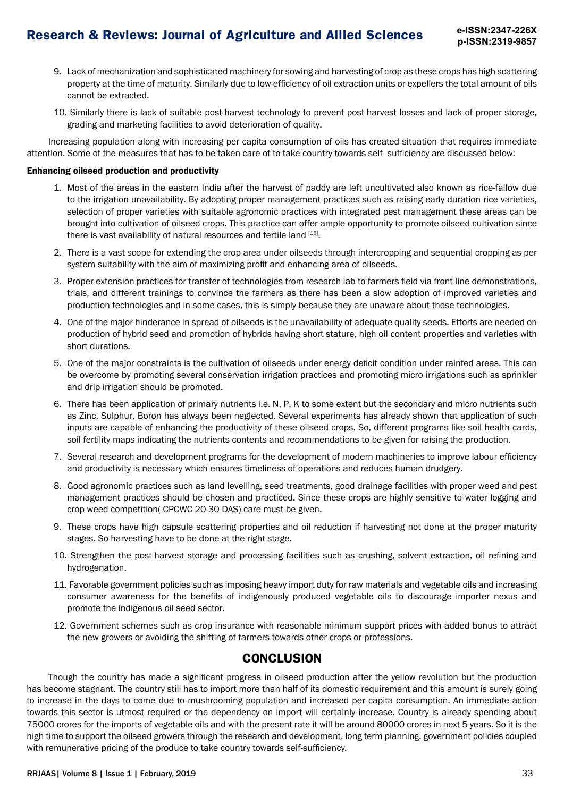- 9. Lack of mechanization and sophisticated machinery for sowing and harvesting of crop as these crops has high scattering property at the time of maturity. Similarly due to low efficiency of oil extraction units or expellers the total amount of oils cannot be extracted.
- 10. Similarly there is lack of suitable post-harvest technology to prevent post-harvest losses and lack of proper storage, grading and marketing facilities to avoid deterioration of quality.

Increasing population along with increasing per capita consumption of oils has created situation that requires immediate attention. Some of the measures that has to be taken care of to take country towards self -sufficiency are discussed below:

#### Enhancing oilseed production and productivity

- 1. Most of the areas in the eastern India after the harvest of paddy are left uncultivated also known as rice-fallow due to the irrigation unavailability. By adopting proper management practices such as raising early duration rice varieties, selection of proper varieties with suitable agronomic practices with integrated pest management these areas can be brought into cultivation of oilseed crops. This practice can offer ample opportunity to promote oilseed cultivation since there is vast availability of natural resources and fertile land [16].
- 2. There is a vast scope for extending the crop area under oilseeds through intercropping and sequential cropping as per system suitability with the aim of maximizing profit and enhancing area of oilseeds.
- 3. Proper extension practices for transfer of technologies from research lab to farmers field via front line demonstrations, trials, and different trainings to convince the farmers as there has been a slow adoption of improved varieties and production technologies and in some cases, this is simply because they are unaware about those technologies.
- 4. One of the major hinderance in spread of oilseeds is the unavailability of adequate quality seeds. Efforts are needed on production of hybrid seed and promotion of hybrids having short stature, high oil content properties and varieties with short durations.
- 5. One of the major constraints is the cultivation of oilseeds under energy deficit condition under rainfed areas. This can be overcome by promoting several conservation irrigation practices and promoting micro irrigations such as sprinkler and drip irrigation should be promoted.
- 6. There has been application of primary nutrients i.e. N, P, K to some extent but the secondary and micro nutrients such as Zinc, Sulphur, Boron has always been neglected. Several experiments has already shown that application of such inputs are capable of enhancing the productivity of these oilseed crops. So, different programs like soil health cards, soil fertility maps indicating the nutrients contents and recommendations to be given for raising the production.
- 7. Several research and development programs for the development of modern machineries to improve labour efficiency and productivity is necessary which ensures timeliness of operations and reduces human drudgery.
- 8. Good agronomic practices such as land levelling, seed treatments, good drainage facilities with proper weed and pest management practices should be chosen and practiced. Since these crops are highly sensitive to water logging and crop weed competition( CPCWC 20-30 DAS) care must be given.
- 9. These crops have high capsule scattering properties and oil reduction if harvesting not done at the proper maturity stages. So harvesting have to be done at the right stage.
- 10. Strengthen the post-harvest storage and processing facilities such as crushing, solvent extraction, oil refining and hydrogenation.
- 11. Favorable government policies such as imposing heavy import duty for raw materials and vegetable oils and increasing consumer awareness for the benefits of indigenously produced vegetable oils to discourage importer nexus and promote the indigenous oil seed sector.
- 12. Government schemes such as crop insurance with reasonable minimum support prices with added bonus to attract the new growers or avoiding the shifting of farmers towards other crops or professions.

## **CONCLUSION**

Though the country has made a significant progress in oilseed production after the yellow revolution but the production has become stagnant. The country still has to import more than half of its domestic requirement and this amount is surely going to increase in the days to come due to mushrooming population and increased per capita consumption. An immediate action towards this sector is utmost required or the dependency on import will certainly increase. Country is already spending about 75000 crores for the imports of vegetable oils and with the present rate it will be around 80000 crores in next 5 years. So it is the high time to support the oilseed growers through the research and development, long term planning, government policies coupled with remunerative pricing of the produce to take country towards self-sufficiency.